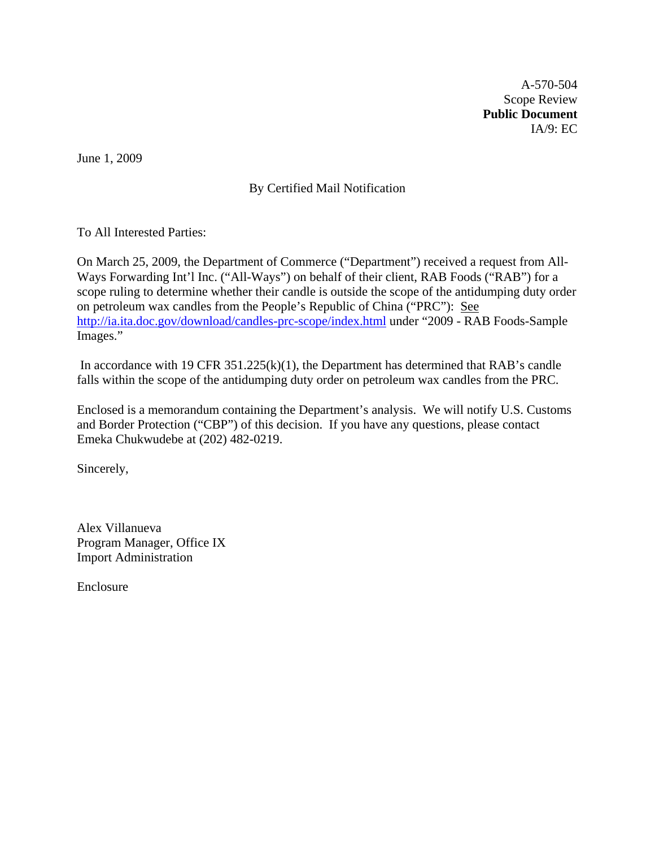A-570-504 Scope Review **Public Document**  IA/9: EC

June 1, 2009

# By Certified Mail Notification

To All Interested Parties:

On March 25, 2009, the Department of Commerce ("Department") received a request from All-Ways Forwarding Int'l Inc. ("All-Ways") on behalf of their client, RAB Foods ("RAB") for a scope ruling to determine whether their candle is outside the scope of the antidumping duty order on petroleum wax candles from the People's Republic of China ("PRC"): See <http://ia.ita.doc.gov/download/candles-prc-scope/index.html> under "2009 - RAB Foods-Sample Images."

 In accordance with 19 CFR 351.225(k)(1), the Department has determined that RAB's candle falls within the scope of the antidumping duty order on petroleum wax candles from the PRC.

Enclosed is a memorandum containing the Department's analysis. We will notify U.S. Customs and Border Protection ("CBP") of this decision. If you have any questions, please contact Emeka Chukwudebe at (202) 482-0219.

Sincerely,

Alex Villanueva Program Manager, Office IX Import Administration

Enclosure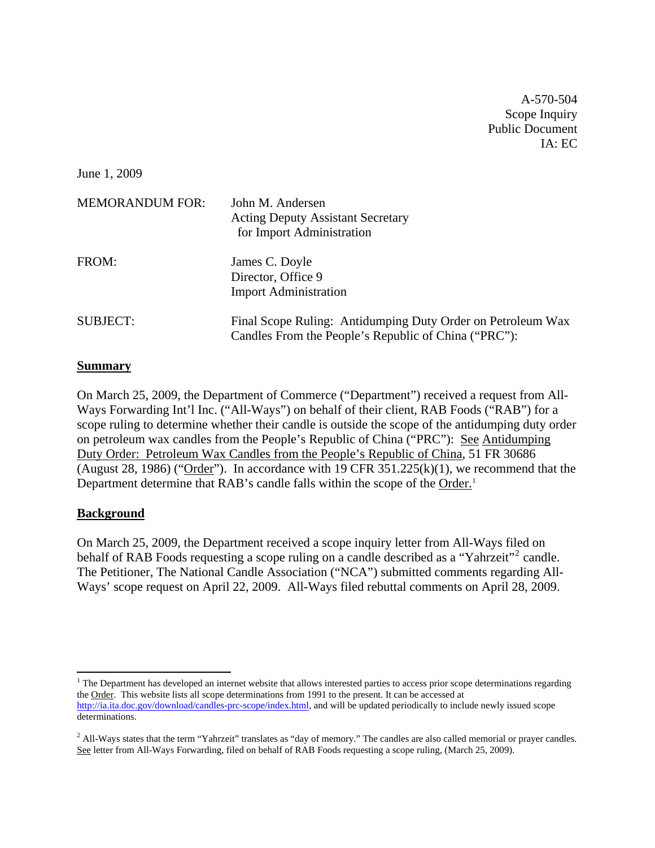A-570-504 Scope Inquiry Public Document  $IA: EC$ 

June 1, 2009

| <b>MEMORANDUM FOR:</b> | John M. Andersen<br><b>Acting Deputy Assistant Secretary</b><br>for Import Administration                           |
|------------------------|---------------------------------------------------------------------------------------------------------------------|
| FROM:                  | James C. Doyle<br>Director, Office 9<br><b>Import Administration</b>                                                |
| <b>SUBJECT:</b>        | Final Scope Ruling: Antidumping Duty Order on Petroleum Wax<br>Candles From the People's Republic of China ("PRC"): |

### **Summary**

On March 25, 2009, the Department of Commerce ("Department") received a request from All-Ways Forwarding Int'l Inc. ("All-Ways") on behalf of their client, RAB Foods ("RAB") for a scope ruling to determine whether their candle is outside the scope of the antidumping duty order on petroleum wax candles from the People's Republic of China ("PRC"): See Antidumping Duty Order: Petroleum Wax Candles from the People's Republic of China, 51 FR 30686 (August 28, 1986) (" $Order$ "). In accordance with 19 CFR 351.225(k)(1), we recommend that the Department determine that RAB's candle falls within the scope of the Order.<sup>[1](#page-1-0)</sup>

## **Background**

On March 25, 2009, the Department received a scope inquiry letter from All-Ways filed on behalf of RAB Foods requesting a scope ruling on a candle described as a "Yahrzeit"<sup>[2](#page-1-1)</sup> candle. The Petitioner, The National Candle Association ("NCA") submitted comments regarding All-Ways' scope request on April 22, 2009. All-Ways filed rebuttal comments on April 28, 2009.

<span id="page-1-0"></span> $<sup>1</sup>$  The Department has developed an internet website that allows interested parties to access prior scope determinations regarding</sup> the Order. This website lists all scope determinations from 1991 to the present. It can be accessed at [http://ia.ita.doc.gov/download/candles-prc-scope/index.html,](http://ia.ita.doc.gov/download/candles-prc-scope/index.html) and will be updated periodically to include newly issued scope determinations.

<span id="page-1-1"></span> $<sup>2</sup>$  All-Ways states that the term "Yahrzeit" translates as "day of memory." The candles are also called memorial or prayer candles.</sup> See letter from All-Ways Forwarding, filed on behalf of RAB Foods requesting a scope ruling, (March 25, 2009).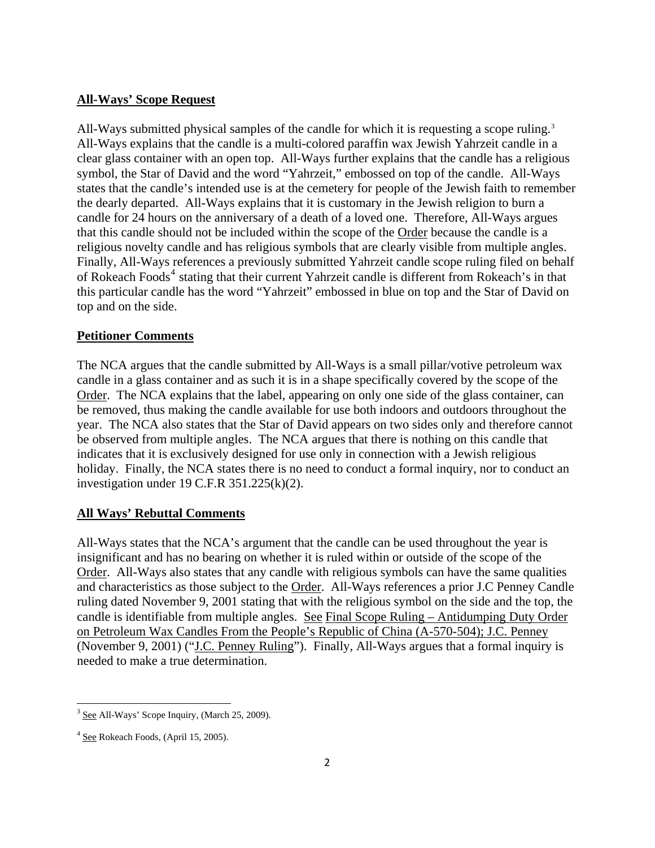## **All-Ways' Scope Request**

All-Ways submitted physical samples of the candle for which it is requesting a scope ruling.<sup>[3](#page-2-0)</sup> All-Ways explains that the candle is a multi-colored paraffin wax Jewish Yahrzeit candle in a clear glass container with an open top. All-Ways further explains that the candle has a religious symbol, the Star of David and the word "Yahrzeit," embossed on top of the candle. All-Ways states that the candle's intended use is at the cemetery for people of the Jewish faith to remember the dearly departed. All-Ways explains that it is customary in the Jewish religion to burn a candle for 24 hours on the anniversary of a death of a loved one. Therefore, All-Ways argues that this candle should not be included within the scope of the Order because the candle is a religious novelty candle and has religious symbols that are clearly visible from multiple angles. Finally, All-Ways references a previously submitted Yahrzeit candle scope ruling filed on behalf of Rokeach Foods<sup>[4](#page-2-1)</sup> stating that their current Yahrzeit candle is different from Rokeach's in that this particular candle has the word "Yahrzeit" embossed in blue on top and the Star of David on top and on the side.

## **Petitioner Comments**

The NCA argues that the candle submitted by All-Ways is a small pillar/votive petroleum wax candle in a glass container and as such it is in a shape specifically covered by the scope of the Order. The NCA explains that the label, appearing on only one side of the glass container, can be removed, thus making the candle available for use both indoors and outdoors throughout the year. The NCA also states that the Star of David appears on two sides only and therefore cannot be observed from multiple angles. The NCA argues that there is nothing on this candle that indicates that it is exclusively designed for use only in connection with a Jewish religious holiday. Finally, the NCA states there is no need to conduct a formal inquiry, nor to conduct an investigation under 19 C.F.R 351.225(k)(2).

### **All Ways' Rebuttal Comments**

All-Ways states that the NCA's argument that the candle can be used throughout the year is insignificant and has no bearing on whether it is ruled within or outside of the scope of the Order. All-Ways also states that any candle with religious symbols can have the same qualities and characteristics as those subject to the Order. All-Ways references a prior J.C Penney Candle ruling dated November 9, 2001 stating that with the religious symbol on the side and the top, the candle is identifiable from multiple angles. See Final Scope Ruling – Antidumping Duty Order on Petroleum Wax Candles From the People's Republic of China (A-570-504); J.C. Penney (November 9, 2001) ("J.C. Penney Ruling"). Finally, All-Ways argues that a formal inquiry is needed to make a true determination.

<span id="page-2-0"></span> <sup>3</sup> See All-Ways' Scope Inquiry, (March 25, 2009).

<span id="page-2-1"></span> $4$  See Rokeach Foods, (April 15, 2005).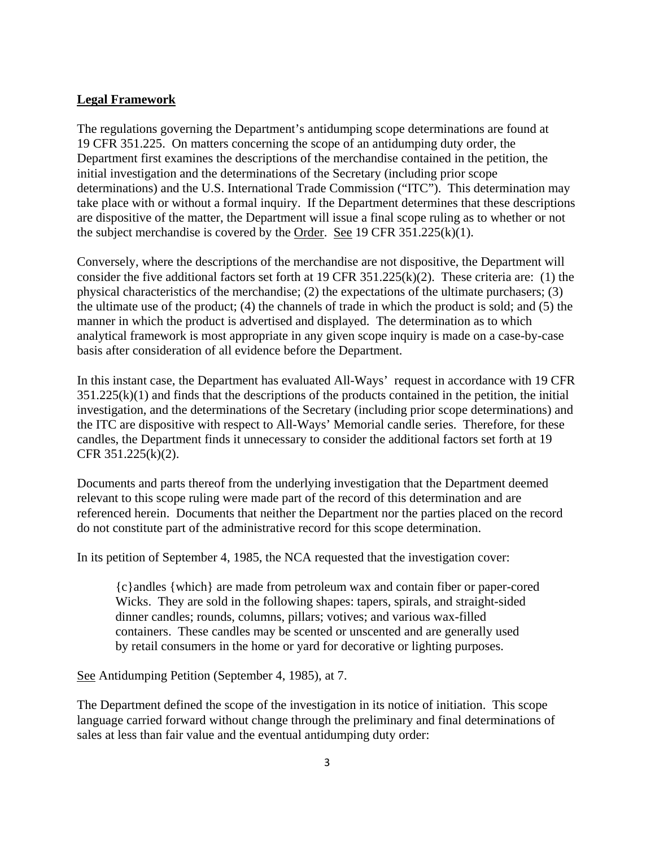### **Legal Framework**

The regulations governing the Department's antidumping scope determinations are found at 19 CFR 351.225. On matters concerning the scope of an antidumping duty order, the Department first examines the descriptions of the merchandise contained in the petition, the initial investigation and the determinations of the Secretary (including prior scope determinations) and the U.S. International Trade Commission ("ITC"). This determination may take place with or without a formal inquiry. If the Department determines that these descriptions are dispositive of the matter, the Department will issue a final scope ruling as to whether or not the subject merchandise is covered by the Order. See 19 CFR  $351.225(k)(1)$ .

Conversely, where the descriptions of the merchandise are not dispositive, the Department will consider the five additional factors set forth at 19 CFR 351.225(k)(2). These criteria are: (1) the physical characteristics of the merchandise; (2) the expectations of the ultimate purchasers; (3) the ultimate use of the product; (4) the channels of trade in which the product is sold; and (5) the manner in which the product is advertised and displayed. The determination as to which analytical framework is most appropriate in any given scope inquiry is made on a case-by-case basis after consideration of all evidence before the Department.

In this instant case, the Department has evaluated All-Ways' request in accordance with 19 CFR  $351.225(k)(1)$  and finds that the descriptions of the products contained in the petition, the initial investigation, and the determinations of the Secretary (including prior scope determinations) and the ITC are dispositive with respect to All-Ways' Memorial candle series. Therefore, for these candles, the Department finds it unnecessary to consider the additional factors set forth at 19 CFR 351.225(k)(2).

Documents and parts thereof from the underlying investigation that the Department deemed relevant to this scope ruling were made part of the record of this determination and are referenced herein. Documents that neither the Department nor the parties placed on the record do not constitute part of the administrative record for this scope determination.

In its petition of September 4, 1985, the NCA requested that the investigation cover:

{c}andles {which} are made from petroleum wax and contain fiber or paper-cored Wicks. They are sold in the following shapes: tapers, spirals, and straight-sided dinner candles; rounds, columns, pillars; votives; and various wax-filled containers. These candles may be scented or unscented and are generally used by retail consumers in the home or yard for decorative or lighting purposes.

See Antidumping Petition (September 4, 1985), at 7.

The Department defined the scope of the investigation in its notice of initiation. This scope language carried forward without change through the preliminary and final determinations of sales at less than fair value and the eventual antidumping duty order: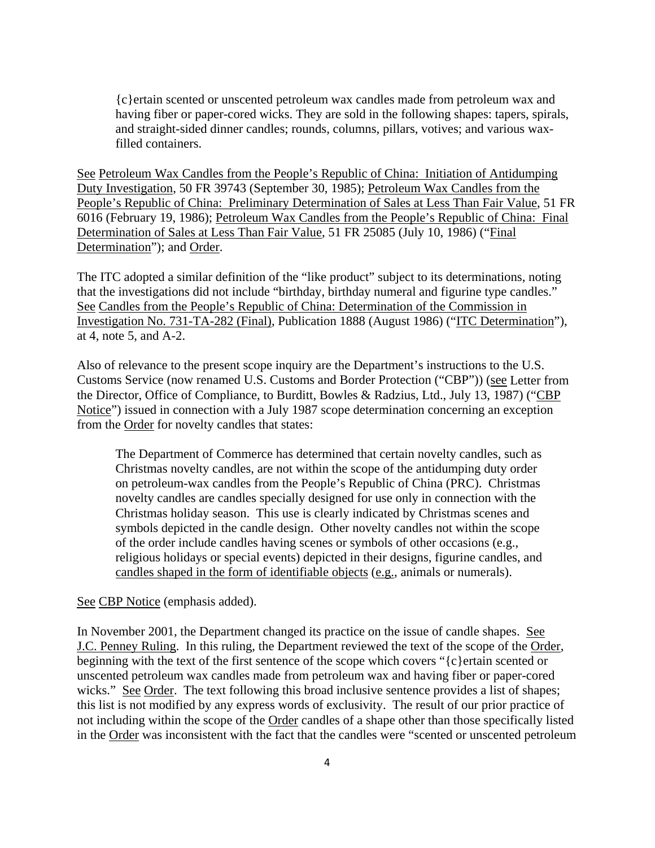{c}ertain scented or unscented petroleum wax candles made from petroleum wax and having fiber or paper-cored wicks. They are sold in the following shapes: tapers, spirals, and straight-sided dinner candles; rounds, columns, pillars, votives; and various waxfilled containers.

See Petroleum Wax Candles from the People's Republic of China: Initiation of Antidumping Duty Investigation, 50 FR 39743 (September 30, 1985); Petroleum Wax Candles from the People's Republic of China: Preliminary Determination of Sales at Less Than Fair Value, 51 FR 6016 (February 19, 1986); Petroleum Wax Candles from the People's Republic of China: Final Determination of Sales at Less Than Fair Value, 51 FR 25085 (July 10, 1986) ("Final Determination"); and Order.

The ITC adopted a similar definition of the "like product" subject to its determinations, noting that the investigations did not include "birthday, birthday numeral and figurine type candles." See Candles from the People's Republic of China: Determination of the Commission in Investigation No. 731-TA-282 (Final), Publication 1888 (August 1986) ("ITC Determination"), at 4, note 5, and A-2.

Also of relevance to the present scope inquiry are the Department's instructions to the U.S. Customs Service (now renamed U.S. Customs and Border Protection ("CBP")) (see Letter from the Director, Office of Compliance, to Burditt, Bowles & Radzius, Ltd., July 13, 1987) ("CBP Notice") issued in connection with a July 1987 scope determination concerning an exception from the Order for novelty candles that states:

The Department of Commerce has determined that certain novelty candles, such as Christmas novelty candles, are not within the scope of the antidumping duty order on petroleum-wax candles from the People's Republic of China (PRC). Christmas novelty candles are candles specially designed for use only in connection with the Christmas holiday season. This use is clearly indicated by Christmas scenes and symbols depicted in the candle design. Other novelty candles not within the scope of the order include candles having scenes or symbols of other occasions (e.g., religious holidays or special events) depicted in their designs, figurine candles, and candles shaped in the form of identifiable objects (e.g., animals or numerals).

#### See CBP Notice (emphasis added).

In November 2001, the Department changed its practice on the issue of candle shapes. See J.C. Penney Ruling. In this ruling, the Department reviewed the text of the scope of the Order, beginning with the text of the first sentence of the scope which covers "{c}ertain scented or unscented petroleum wax candles made from petroleum wax and having fiber or paper-cored wicks." See Order. The text following this broad inclusive sentence provides a list of shapes; this list is not modified by any express words of exclusivity. The result of our prior practice of not including within the scope of the Order candles of a shape other than those specifically listed in the Order was inconsistent with the fact that the candles were "scented or unscented petroleum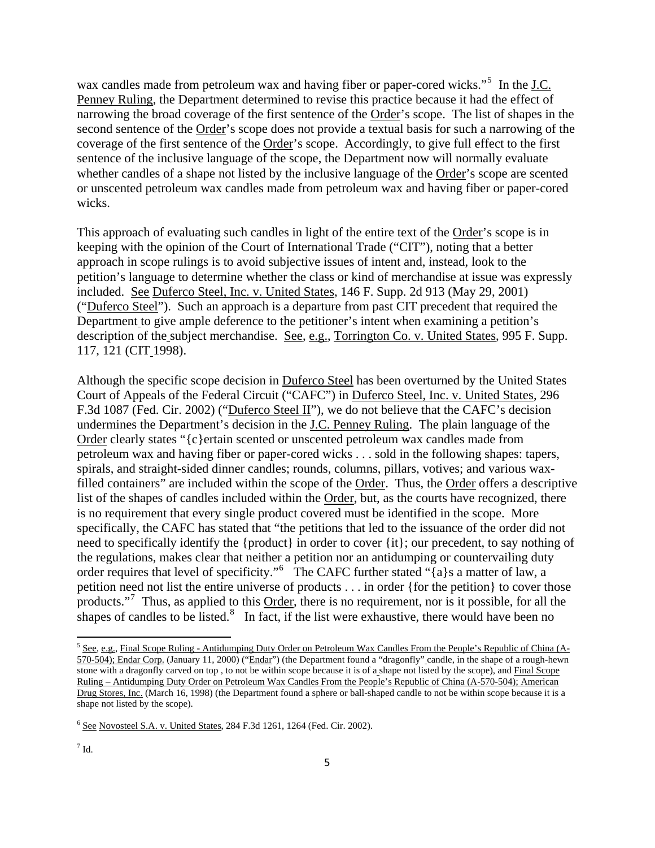wax candles made from petroleum wax and having fiber or paper-cored wicks."<sup>[5](#page-5-0)</sup> In the J.C. Penney Ruling, the Department determined to revise this practice because it had the effect of narrowing the broad coverage of the first sentence of the Order's scope. The list of shapes in the second sentence of the Order's scope does not provide a textual basis for such a narrowing of the coverage of the first sentence of the Order's scope. Accordingly, to give full effect to the first sentence of the inclusive language of the scope, the Department now will normally evaluate whether candles of a shape not listed by the inclusive language of the Order's scope are scented or unscented petroleum wax candles made from petroleum wax and having fiber or paper-cored wicks.

This approach of evaluating such candles in light of the entire text of the Order's scope is in keeping with the opinion of the Court of International Trade ("CIT"), noting that a better approach in scope rulings is to avoid subjective issues of intent and, instead, look to the petition's language to determine whether the class or kind of merchandise at issue was expressly included. See Duferco Steel, Inc. v. United States, 146 F. Supp. 2d 913 (May 29, 2001) ("Duferco Steel"). Such an approach is a departure from past CIT precedent that required the Department to give ample deference to the petitioner's intent when examining a petition's description of the subject merchandise. See, e.g., Torrington Co. v. United States, 995 F. Supp. 117, 121 (CIT 1998).

Although the specific scope decision in Duferco Steel has been overturned by the United States Court of Appeals of the Federal Circuit ("CAFC") in Duferco Steel, Inc. v. United States, 296 F.3d 1087 (Fed. Cir. 2002) ("Duferco Steel II"), we do not believe that the CAFC's decision undermines the Department's decision in the J.C. Penney Ruling. The plain language of the Order clearly states "{c}ertain scented or unscented petroleum wax candles made from petroleum wax and having fiber or paper-cored wicks . . . sold in the following shapes: tapers, spirals, and straight-sided dinner candles; rounds, columns, pillars, votives; and various waxfilled containers" are included within the scope of the Order. Thus, the Order offers a descriptive list of the shapes of candles included within the Order, but, as the courts have recognized, there is no requirement that every single product covered must be identified in the scope. More specifically, the CAFC has stated that "the petitions that led to the issuance of the order did not need to specifically identify the {product} in order to cover {it}; our precedent, to say nothing of the regulations, makes clear that neither a petition nor an antidumping or countervailing duty order requires that level of specificity."<sup>[6](#page-5-1)</sup> The CAFC further stated "{a}s a matter of law, a petition need not list the entire universe of products . . . in order {for the petition} to cover those products."<sup>[7](#page-5-2)</sup> Thus, as applied to this Order, there is no requirement, nor is it possible, for all the shapes of candles to be listed. $\frac{8}{5}$  $\frac{8}{5}$  $\frac{8}{5}$  In fact, if the list were exhaustive, there would have been no

<span id="page-5-3"></span><span id="page-5-0"></span><sup>&</sup>lt;sup>5</sup> See, e.g., Final Scope Ruling - Antidumping Duty Order on Petroleum Wax Candles From the People's Republic of China (A-570-504); Endar Corp. (January 11, 2000) ("Endar") (the Department found a "dragonfly" candle, in the shape of a rough-hewn stone with a dragonfly carved on top , to not be within scope because it is of a shape not listed by the scope), and Final Scope Ruling – Antidumping Duty Order on Petroleum Wax Candles From the People's Republic of China (A-570-504); American Drug Stores, Inc. (March 16, 1998) (the Department found a sphere or ball-shaped candle to not be within scope because it is a shape not listed by the scope).

<span id="page-5-2"></span><span id="page-5-1"></span> $6$  See Novosteel S.A. v. United States, 284 F.3d 1261, 1264 (Fed. Cir. 2002).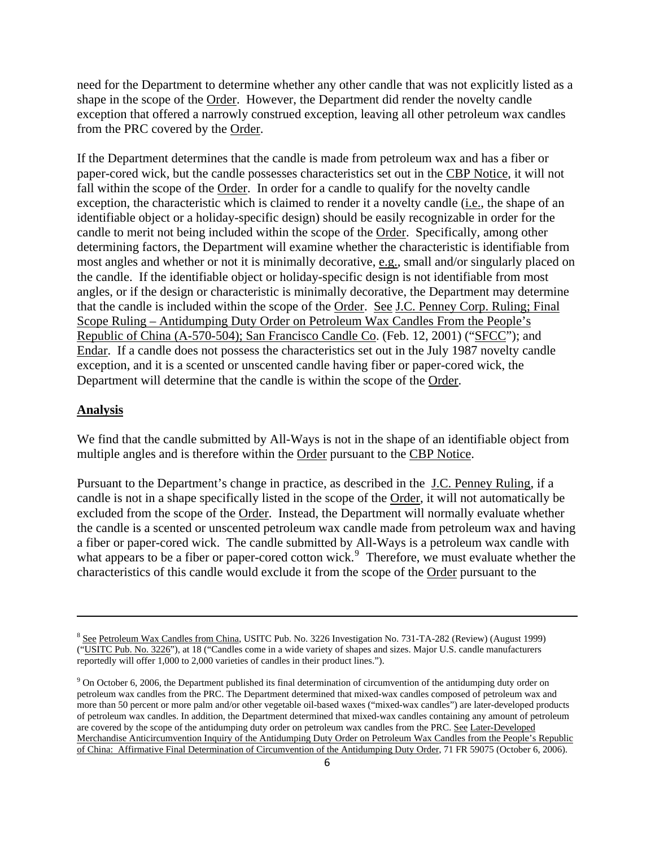need for the Department to determine whether any other candle that was not explicitly listed as a shape in the scope of the Order. However, the Department did render the novelty candle exception that offered a narrowly construed exception, leaving all other petroleum wax candles from the PRC covered by the Order.

If the Department determines that the candle is made from petroleum wax and has a fiber or paper-cored wick, but the candle possesses characteristics set out in the CBP Notice, it will not fall within the scope of the Order. In order for a candle to qualify for the novelty candle exception, the characteristic which is claimed to render it a novelty candle (i.e., the shape of an identifiable object or a holiday-specific design) should be easily recognizable in order for the candle to merit not being included within the scope of the Order. Specifically, among other determining factors, the Department will examine whether the characteristic is identifiable from most angles and whether or not it is minimally decorative, e.g., small and/or singularly placed on the candle. If the identifiable object or holiday-specific design is not identifiable from most angles, or if the design or characteristic is minimally decorative, the Department may determine that the candle is included within the scope of the Order. See J.C. Penney Corp. Ruling; Final Scope Ruling – Antidumping Duty Order on Petroleum Wax Candles From the People's Republic of China (A-570-504); San Francisco Candle Co. (Feb. 12, 2001) ("SFCC"); and Endar. If a candle does not possess the characteristics set out in the July 1987 novelty candle exception, and it is a scented or unscented candle having fiber or paper-cored wick, the Department will determine that the candle is within the scope of the Order.

#### **Analysis**

We find that the candle submitted by All-Ways is not in the shape of an identifiable object from multiple angles and is therefore within the Order pursuant to the CBP Notice.

Pursuant to the Department's change in practice, as described in the J.C. Penney Ruling, if a candle is not in a shape specifically listed in the scope of the Order, it will not automatically be excluded from the scope of the Order. Instead, the Department will normally evaluate whether the candle is a scented or unscented petroleum wax candle made from petroleum wax and having a fiber or paper-cored wick. The candle submitted by All-Ways is a petroleum wax candle with what appears to be a fiber or paper-cored cotton wick.<sup>[9](#page-6-0)</sup> Therefore, we must evaluate whether the characteristics of this candle would exclude it from the scope of the Order pursuant to the

<u> 1989 - Johann Stein, marwolaethau a gweledydd a ganlad y ganlad y ganlad y ganlad y ganlad y ganlad y ganlad</u>

<sup>8</sup> See Petroleum Wax Candles from China, USITC Pub. No. 3226 Investigation No. 731-TA-282 (Review) (August 1999) ("USITC Pub. No. 3226"), at 18 ("Candles come in a wide variety of shapes and sizes. Major U.S. candle manufacturers reportedly will offer 1,000 to 2,000 varieties of candles in their product lines.").

<span id="page-6-0"></span><sup>&</sup>lt;sup>9</sup> On October 6, 2006, the Department published its final determination of circumvention of the antidumping duty order on petroleum wax candles from the PRC. The Department determined that mixed-wax candles composed of petroleum wax and more than 50 percent or more palm and/or other vegetable oil-based waxes ("mixed-wax candles") are later-developed products of petroleum wax candles. In addition, the Department determined that mixed-wax candles containing any amount of petroleum are covered by the scope of the antidumping duty order on petroleum wax candles from the PRC. See Later-Developed Merchandise Anticircumvention Inquiry of the Antidumping Duty Order on Petroleum Wax Candles from the People's Republic of China: Affirmative Final Determination of Circumvention of the Antidumping Duty Order, 71 FR 59075 (October 6, 2006).